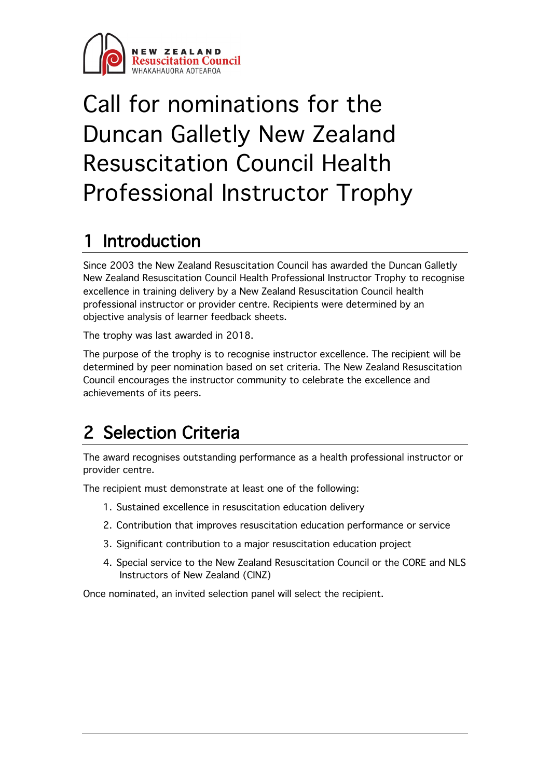

# Call for nominations for the Duncan Galletly New Zealand Resuscitation Council Health Professional Instructor Trophy

### **Introduction**

Since 2003 the New Zealand Resuscitation Council has awarded the Duncan Galletly New Zealand Resuscitation Council Health Professional Instructor Trophy to recognise excellence in training delivery by a New Zealand Resuscitation Council health professional instructor or provider centre. Recipients were determined by an objective analysis of learner feedback sheets.

The trophy was last awarded in 2018.

The purpose of the trophy is to recognise instructor excellence. The recipient will be determined by peer nomination based on set criteria. The New Zealand Resuscitation Council encourages the instructor community to celebrate the excellence and achievements of its peers.

### 2 Selection Criteria

The award recognises outstanding performance as a health professional instructor or provider centre.

The recipient must demonstrate at least one of the following:

- 1. Sustained excellence in resuscitation education delivery
- 2. Contribution that improves resuscitation education performance or service
- 3. Significant contribution to a major resuscitation education project
- 4. Special service to the New Zealand Resuscitation Council or the CORE and NLS Instructors of New Zealand (CINZ)

Once nominated, an invited selection panel will select the recipient.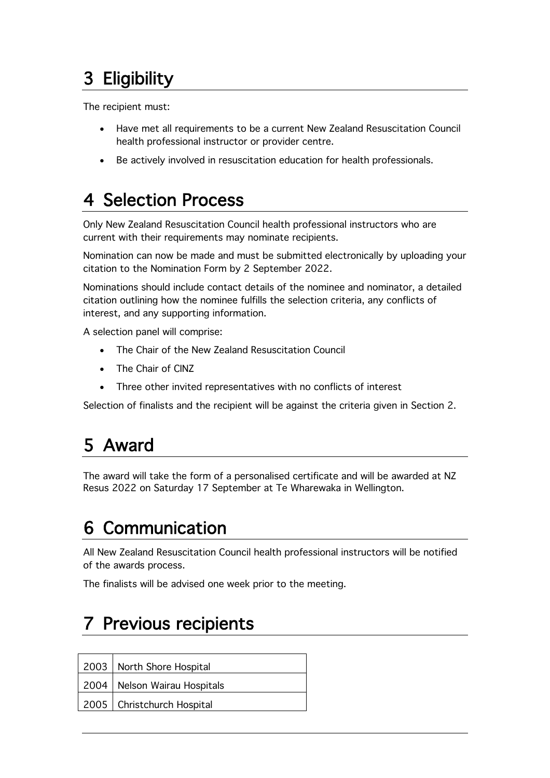# 3 Eligibility

The recipient must:

- Have met all requirements to be a current New Zealand Resuscitation Council health professional instructor or provider centre.
- Be actively involved in resuscitation education for health professionals.

## 4 Selection Process

Only New Zealand Resuscitation Council health professional instructors who are current with their requirements may nominate recipients.

Nomination can now be made and must be submitted electronically by uploading your citation to the Nomination Form by 2 September 2022.

Nominations should include contact details of the nominee and nominator, a detailed citation outlining how the nominee fulfills the selection criteria, any conflicts of interest, and any supporting information.

A selection panel will comprise:

- The Chair of the New Zealand Resuscitation Council
- The Chair of CINZ
- Three other invited representatives with no conflicts of interest

Selection of finalists and the recipient will be against the criteria given in Section 2.

#### 5 Award

The award will take the form of a personalised certificate and will be awarded at NZ Resus 2022 on Saturday 17 September at Te Wharewaka in Wellington.

#### 6 Communication

All New Zealand Resuscitation Council health professional instructors will be notified of the awards process.

The finalists will be advised one week prior to the meeting.

#### Previous recipients

| 2003   North Shore Hospital    |
|--------------------------------|
| 2004   Nelson Wairau Hospitals |
| 2005   Christchurch Hospital   |